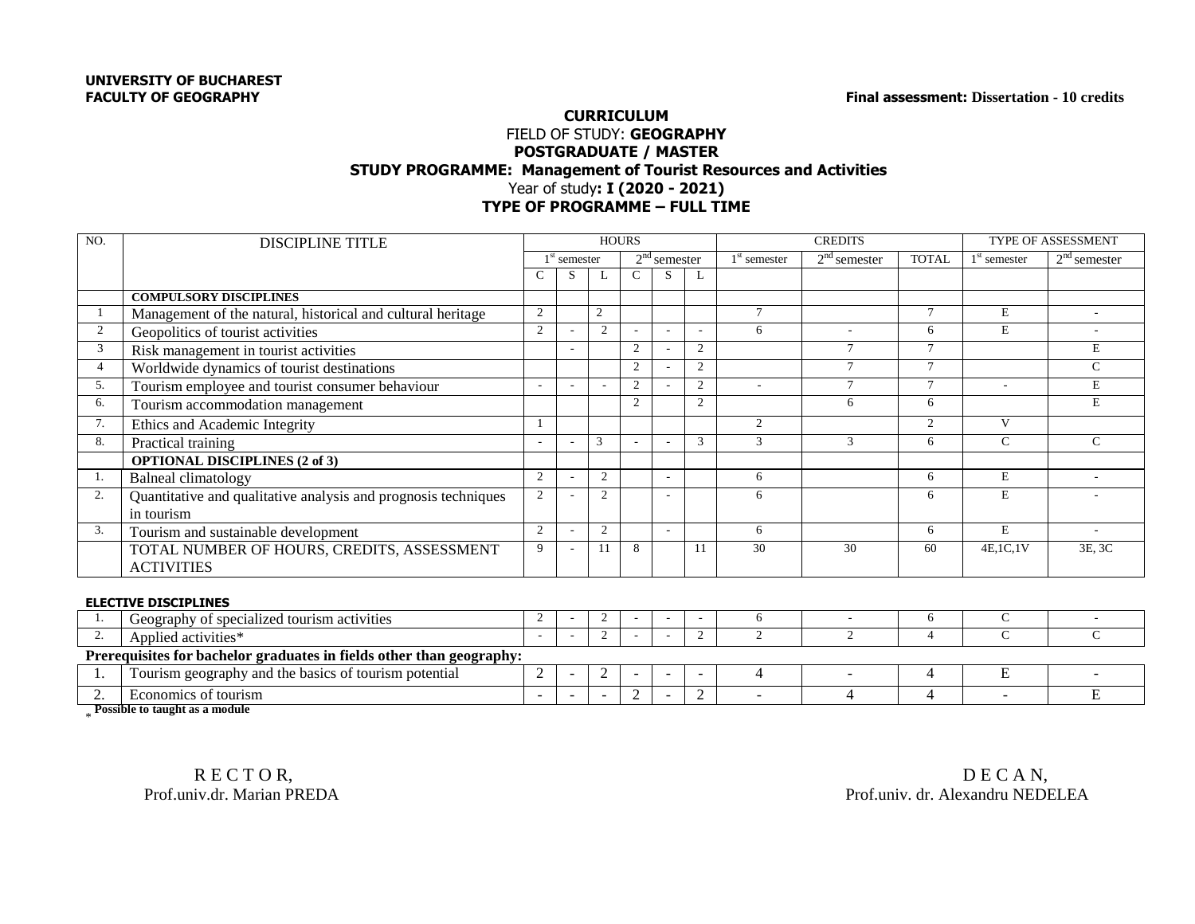## **CURRICULUM** FIELD OF STUDY: **GEOGRAPHY POSTGRADUATE / MASTER STUDY PROGRAMME: Management of Tourist Resources and Activities** Year of study**: I (2020 - 2021) TYPE OF PROGRAMME – FULL TIME**

| NO.            |                                                                              | <b>HOURS</b>             |                          |                |                          |                          |                |                | <b>CREDITS</b> | <b>TYPE OF ASSESSMENT</b> |                          |                          |
|----------------|------------------------------------------------------------------------------|--------------------------|--------------------------|----------------|--------------------------|--------------------------|----------------|----------------|----------------|---------------------------|--------------------------|--------------------------|
|                | <b>DISCIPLINE TITLE</b>                                                      |                          |                          |                |                          |                          |                |                |                |                           |                          |                          |
|                |                                                                              | $1st$ semester           |                          |                | $2nd$ semester           |                          | $1st$ semester | $2nd$ semester | <b>TOTAL</b>   | $1st$ semester            | $2nd$ semester           |                          |
|                |                                                                              | $\mathcal{C}$            | S                        |                | $\mathsf{C}$             | S                        |                |                |                |                           |                          |                          |
|                | <b>COMPULSORY DISCIPLINES</b>                                                |                          |                          |                |                          |                          |                |                |                |                           |                          |                          |
|                | Management of the natural, historical and cultural heritage                  | 2                        |                          | $\overline{2}$ |                          |                          |                | $\tau$         |                | $\tau$                    | E                        | $\overline{a}$           |
| $\overline{2}$ | Geopolitics of tourist activities                                            | $\overline{2}$           |                          | 2              |                          |                          |                | 6              | ÷              | 6                         | E                        |                          |
| 3              | Risk management in tourist activities                                        |                          |                          |                | $\overline{2}$           |                          | $\overline{c}$ |                | $\tau$         | $\tau$                    |                          | E                        |
| $\overline{4}$ | Worldwide dynamics of tourist destinations                                   |                          |                          |                | $\overline{2}$           |                          | 2              |                | $\tau$         | $\tau$                    |                          | $\mathsf{C}$             |
| 5.             | Tourism employee and tourist consumer behaviour                              |                          |                          |                | 2                        |                          | 2              | $\sim$         | $\tau$         |                           | $\overline{\phantom{a}}$ | $\mathbf E$              |
| 6.             | Tourism accommodation management                                             |                          |                          |                | 2                        |                          | 2              |                | 6              | 6                         |                          | $\mathbf E$              |
| 7.             | Ethics and Academic Integrity                                                |                          |                          |                |                          |                          |                | 2              |                | 2                         | V                        |                          |
| 8.             | Practical training                                                           |                          |                          | $\mathcal{R}$  |                          |                          | $\mathcal{R}$  | $\mathcal{F}$  | 3              | 6                         | $\mathsf{C}$             | $\mathsf{C}$             |
|                | <b>OPTIONAL DISCIPLINES (2 of 3)</b>                                         |                          |                          |                |                          |                          |                |                |                |                           |                          |                          |
| -1.            | <b>Balneal climatology</b>                                                   | 2                        |                          | 2              |                          |                          |                | 6              |                | 6                         | E                        |                          |
| 2.             | Quantitative and qualitative analysis and prognosis techniques<br>in tourism | 2                        |                          | 2              |                          |                          |                | 6              |                | 6                         | E                        |                          |
| 3.             | Tourism and sustainable development                                          | 2                        |                          | 2              |                          | ÷                        |                | 6              |                | 6                         | E                        | $\overline{\phantom{a}}$ |
|                | TOTAL NUMBER OF HOURS, CREDITS, ASSESSMENT<br><b>ACTIVITIES</b>              | 9                        |                          | 11             | 8                        |                          | 11             | 30             | 30             | 60                        | 4E, 1C, 1V               | 3E, 3C                   |
|                | <b>ELECTIVE DISCIPLINES</b>                                                  |                          |                          |                |                          |                          |                |                |                |                           |                          |                          |
| -1.            | Geography of specialized tourism activities                                  | 2                        |                          | 2              |                          | ٠                        |                | 6              | $\sim$         | 6                         | C                        | $\overline{\phantom{a}}$ |
| 2.             | Applied activities*                                                          | $\sim$                   |                          | 2              |                          |                          | $\overline{c}$ | 2              | 2              | 4                         | $\mathsf{C}$             | $\mathcal{C}$            |
|                | Prerequisites for bachelor graduates in fields other than geography:         |                          |                          |                |                          |                          |                |                |                |                           |                          |                          |
| 1.             | Tourism geography and the basics of tourism potential                        | $\mathbf{2}$             | $\overline{\phantom{a}}$ | 2              | $\overline{\phantom{0}}$ | $\overline{\phantom{a}}$ | $\blacksquare$ | $\overline{4}$ | ۰              | 4                         | E                        |                          |
| 2.             | Economics of tourism                                                         | $\overline{\phantom{a}}$ | $\overline{\phantom{0}}$ |                | $\overline{2}$           | $\overline{\phantom{a}}$ | $\overline{c}$ |                | 4              | 4                         |                          | E                        |

\* **Possible to taught as a module**

R E C T O R, D E C A N, D E C A N, D E C A N, D E C A N, D E C A N, D E C A N, D E C A N, D E C A N, D E C A N, D E C A N, D E C A N, D E C A N, D E C A N, D E C A N, D E C A N, D E C A N, D E C A N, D E C A N, D E C A N, Prof.univ. dr. Alexandru NEDELEA